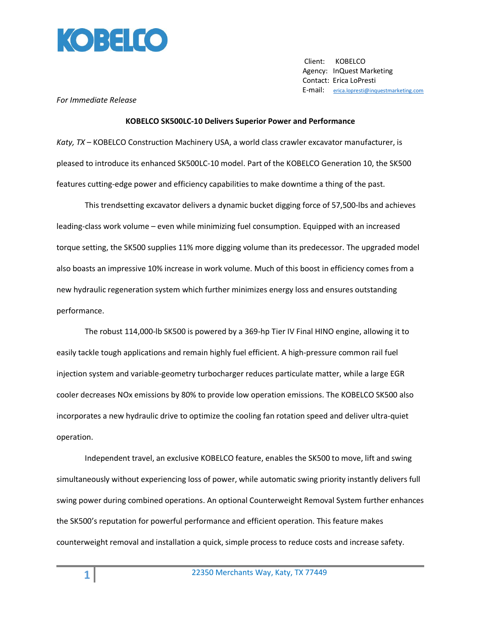

 Client: KOBELCO Agency: InQuest Marketing Contact: Erica LoPresti E-mail: [erica.lopresti@inquestmarketing.com](mailto:erica.lopresti@inquestmarketing.com)

## *For Immediate Release*

## **KOBELCO SK500LC-10 Delivers Superior Power and Performance**

*Katy, TX* – KOBELCO Construction Machinery USA, a world class crawler excavator manufacturer, is pleased to introduce its enhanced SK500LC-10 model. Part of the KOBELCO Generation 10, the SK500 features cutting-edge power and efficiency capabilities to make downtime a thing of the past.

This trendsetting excavator delivers a dynamic bucket digging force of 57,500-lbs and achieves leading-class work volume – even while minimizing fuel consumption. Equipped with an increased torque setting, the SK500 supplies 11% more digging volume than its predecessor. The upgraded model also boasts an impressive 10% increase in work volume. Much of this boost in efficiency comes from a new hydraulic regeneration system which further minimizes energy loss and ensures outstanding performance.

The robust 114,000-lb SK500 is powered by a 369-hp Tier IV Final HINO engine, allowing it to easily tackle tough applications and remain highly fuel efficient. A high-pressure common rail fuel injection system and variable-geometry turbocharger reduces particulate matter, while a large EGR cooler decreases NOx emissions by 80% to provide low operation emissions. The KOBELCO SK500 also incorporates a new hydraulic drive to optimize the cooling fan rotation speed and deliver ultra-quiet operation.

Independent travel, an exclusive KOBELCO feature, enables the SK500 to move, lift and swing simultaneously without experiencing loss of power, while automatic swing priority instantly delivers full swing power during combined operations. An optional Counterweight Removal System further enhances the SK500's reputation for powerful performance and efficient operation. This feature makes counterweight removal and installation a quick, simple process to reduce costs and increase safety.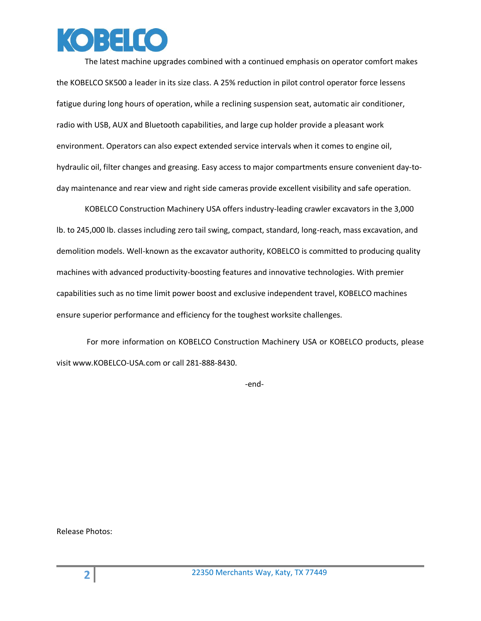

The latest machine upgrades combined with a continued emphasis on operator comfort makes the KOBELCO SK500 a leader in its size class. A 25% reduction in pilot control operator force lessens fatigue during long hours of operation, while a reclining suspension seat, automatic air conditioner, radio with USB, AUX and Bluetooth capabilities, and large cup holder provide a pleasant work environment. Operators can also expect extended service intervals when it comes to engine oil, hydraulic oil, filter changes and greasing. Easy access to major compartments ensure convenient day-today maintenance and rear view and right side cameras provide excellent visibility and safe operation.

KOBELCO Construction Machinery USA offers industry-leading crawler excavators in the 3,000 lb. to 245,000 lb. classes including zero tail swing, compact, standard, long-reach, mass excavation, and demolition models. Well-known as the excavator authority, KOBELCO is committed to producing quality machines with advanced productivity-boosting features and innovative technologies. With premier capabilities such as no time limit power boost and exclusive independent travel, KOBELCO machines ensure superior performance and efficiency for the toughest worksite challenges.

For more information on KOBELCO Construction Machinery USA or KOBELCO products, please visit www.KOBELCO-USA.com or call 281-888-8430.

-end-

Release Photos: